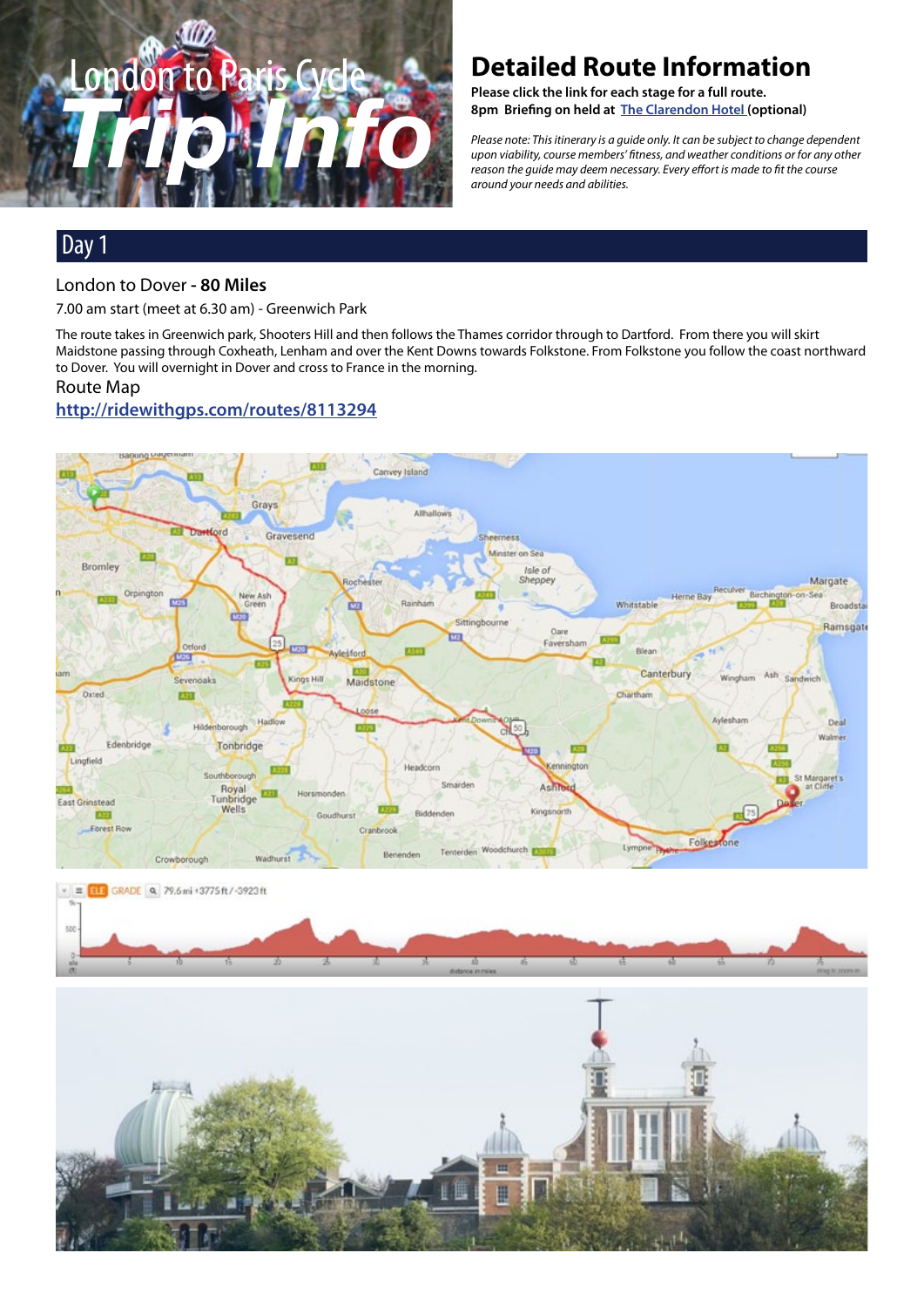

# **Detailed Route Information**

**Please click the link for each stage for a full route. 8pm Briefing on held at [The Clarendon Hotel](http://www.clarendonhotel.com/) (optional)** 

*Please note: This itinerary is a guide only. It can be subject to change dependent upon viability, course members' fitness, and weather conditions or for any other reason the guide may deem necessary. Every effort is made to fit the course around your needs and abilities.*

## Day 1

#### London to Dover **- 80 Miles**

7.00 am start (meet at 6.30 am) - Greenwich Park

The route takes in Greenwich park, Shooters Hill and then follows the Thames corridor through to Dartford. From there you will skirt Maidstone passing through Coxheath, Lenham and over the Kent Downs towards Folkstone. From Folkstone you follow the coast northward to Dover. You will overnight in Dover and cross to France in the morning.

#### Route Map

## **[http://ridewithgps.com/routes/8](http://ridewithgps.com/routes/7436831)113294**





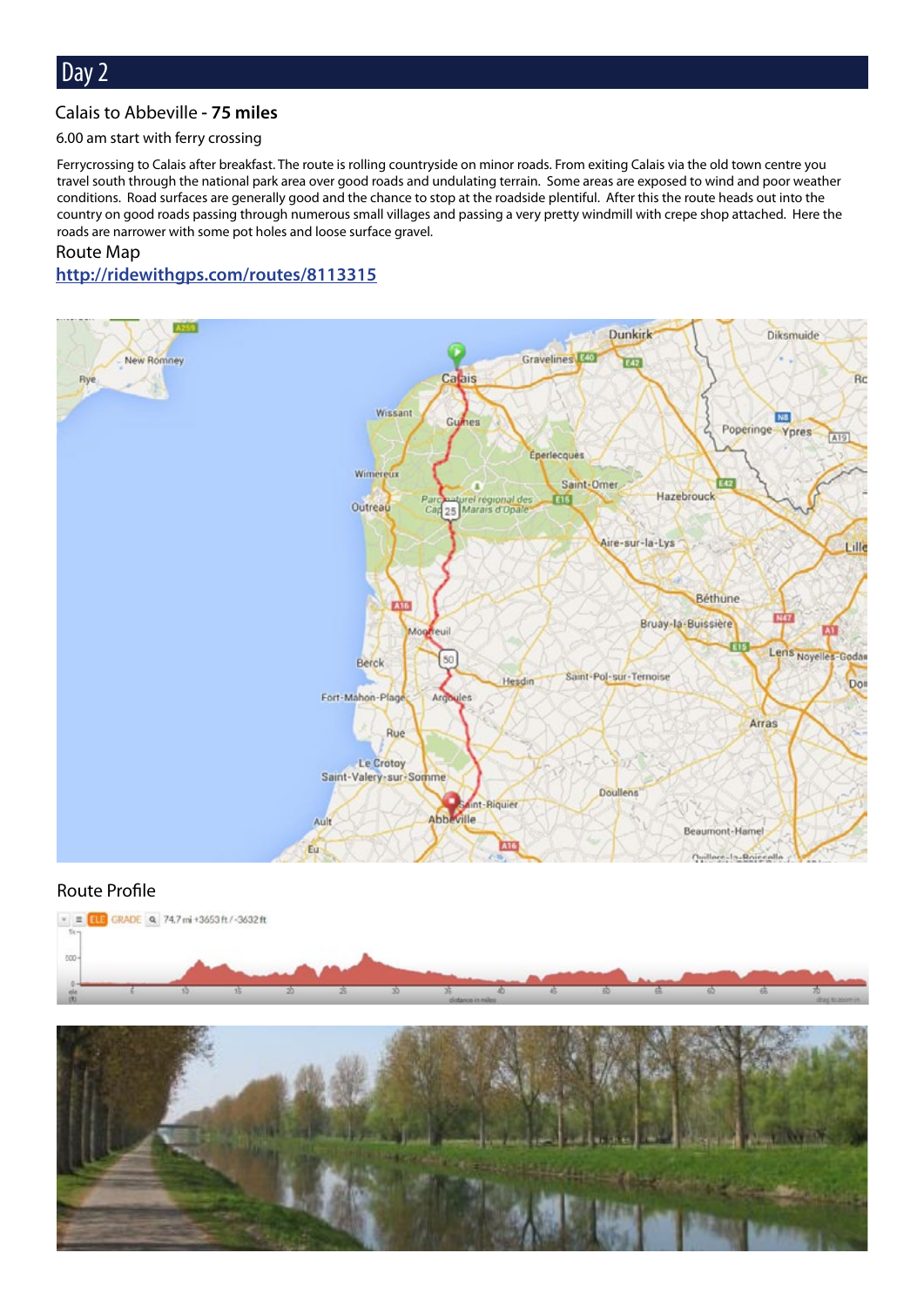#### Calais to Abbeville **- 75 miles**

#### 6.00 am start with ferry crossing

Ferrycrossing to Calais after breakfast. The route is rolling countryside on minor roads. From exiting Calais via the old town centre you travel south through the national park area over good roads and undulating terrain. Some areas are exposed to wind and poor weather conditions. Road surfaces are generally good and the chance to stop at the roadside plentiful. After this the route heads out into the country on good roads passing through numerous small villages and passing a very pretty windmill with crepe shop attached. Here the roads are narrower with some pot holes and loose surface gravel.

#### Route Map **[http://ridewithgps.com/routes/8](http://ridewithgps.com/routes/7437403)113315**



#### Route Profile



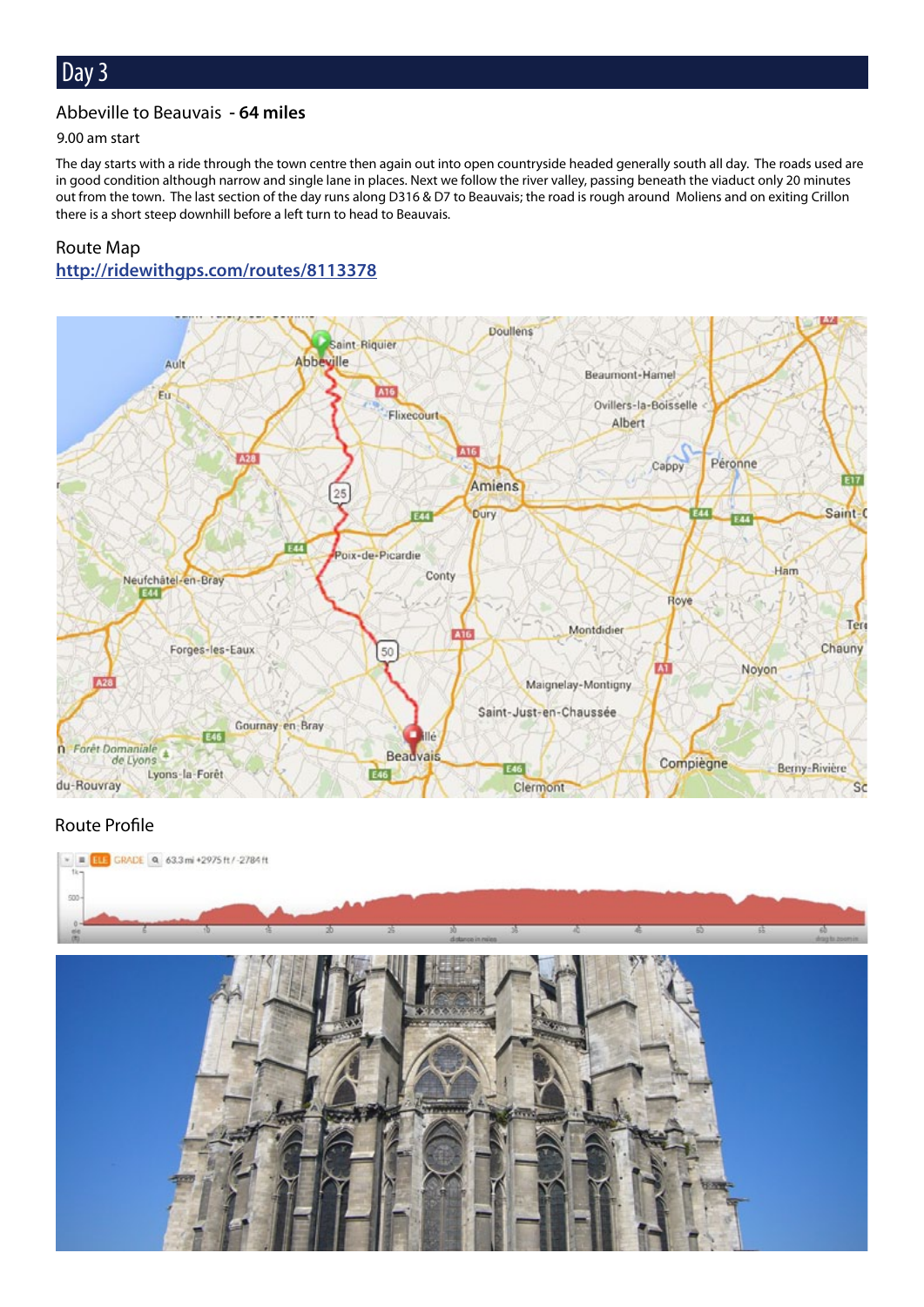#### Abbeville to Beauvais **- 64 miles**

#### 9.00 am start

The day starts with a ride through the town centre then again out into open countryside headed generally south all day. The roads used are in good condition although narrow and single lane in places. Next we follow the river valley, passing beneath the viaduct only 20 minutes out from the town. The last section of the day runs along D316 & D7 to Beauvais; the road is rough around Moliens and on exiting Crillon there is a short steep downhill before a left turn to head to Beauvais.

## Route Map **[http://ridewithgps.com/routes/8](http://ridewithgps.com/routes/7437458)113378**



#### Route Profile